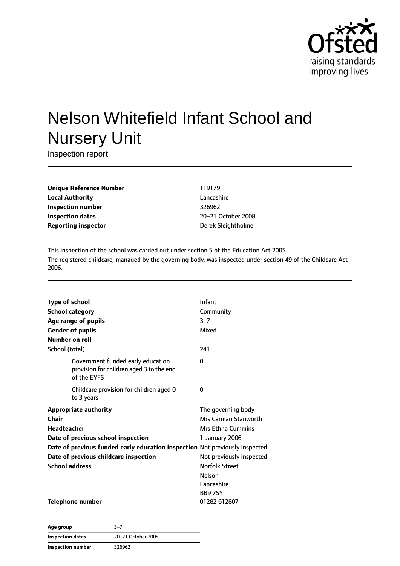

# Nelson Whitefield Infant School and Nursery Unit

Inspection report

**Unique Reference Number** 119179 **Local Authority** Lancashire **Inspection number** 326962 **Inspection dates** 20–21 October 2008 **Reporting inspector CONFIDENTIAL EXECUTES** Derek Sleightholme

This inspection of the school was carried out under section 5 of the Education Act 2005. The registered childcare, managed by the governing body, was inspected under section 49 of the Childcare Act 2006.

| <b>Type of school</b>  |                                                                                              | Infant                   |
|------------------------|----------------------------------------------------------------------------------------------|--------------------------|
| <b>School category</b> |                                                                                              | Community                |
|                        | Age range of pupils                                                                          | $3 - 7$                  |
|                        | <b>Gender of pupils</b>                                                                      | Mixed                    |
| Number on roll         |                                                                                              |                          |
| School (total)         |                                                                                              | 241                      |
|                        | Government funded early education<br>provision for children aged 3 to the end<br>of the EYFS | 0                        |
|                        | Childcare provision for children aged 0<br>to 3 years                                        | 0                        |
|                        | <b>Appropriate authority</b>                                                                 | The governing body       |
| Chair                  |                                                                                              | Mrs Carman Stanworth     |
| Headteacher            |                                                                                              | <b>Mrs Ethna Cummins</b> |
|                        | Date of previous school inspection                                                           | 1 January 2006           |
|                        | Date of previous funded early education inspection Not previously inspected                  |                          |
|                        | Date of previous childcare inspection                                                        | Not previously inspected |
| <b>School address</b>  |                                                                                              | <b>Norfolk Street</b>    |
|                        |                                                                                              | <b>Nelson</b>            |
|                        |                                                                                              | Lancashire               |
|                        |                                                                                              | <b>BB97SY</b>            |
|                        | Telephone number                                                                             | 01282 612807             |

**Age group** 3–7 **Inspection dates** 20–21 October 2008 **Inspection number** 326962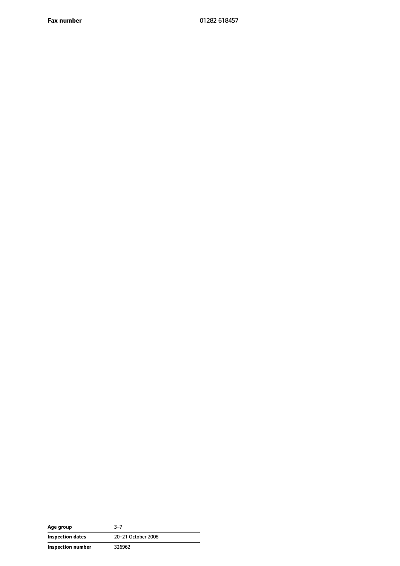**Fax number** 01282 618457

| Age group         | 3-7                |
|-------------------|--------------------|
| Inspection dates  | 20-21 October 2008 |
| Inspection number | 326962             |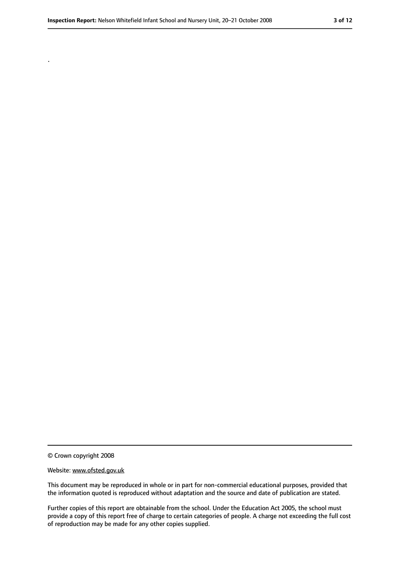.

#### Website: www.ofsted.gov.uk

This document may be reproduced in whole or in part for non-commercial educational purposes, provided that the information quoted is reproduced without adaptation and the source and date of publication are stated.

Further copies of this report are obtainable from the school. Under the Education Act 2005, the school must provide a copy of this report free of charge to certain categories of people. A charge not exceeding the full cost of reproduction may be made for any other copies supplied.

<sup>©</sup> Crown copyright 2008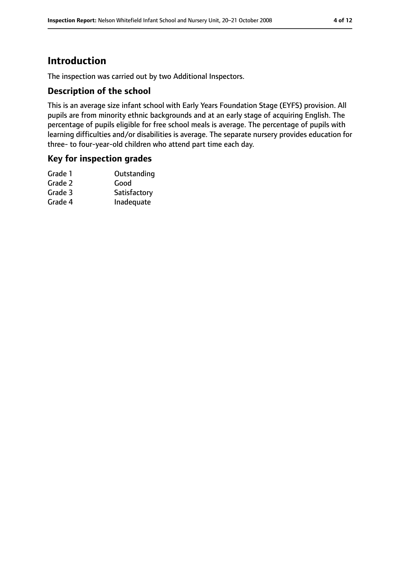## **Introduction**

The inspection was carried out by two Additional Inspectors.

#### **Description of the school**

This is an average size infant school with Early Years Foundation Stage (EYFS) provision. All pupils are from minority ethnic backgrounds and at an early stage of acquiring English. The percentage of pupils eligible for free school meals is average. The percentage of pupils with learning difficulties and/or disabilities is average. The separate nursery provides education for three- to four-year-old children who attend part time each day.

#### **Key for inspection grades**

| Outstanding  |
|--------------|
| Good         |
| Satisfactory |
| Inadequate   |
|              |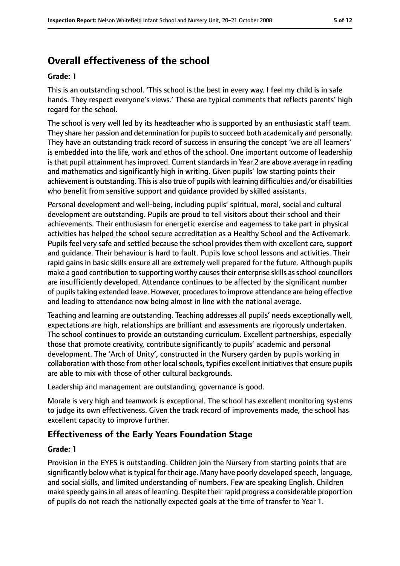## **Overall effectiveness of the school**

#### **Grade: 1**

This is an outstanding school. 'This school is the best in every way. I feel my child is in safe hands. They respect everyone's views.' These are typical comments that reflects parents' high regard for the school.

The school is very well led by its headteacher who is supported by an enthusiastic staff team. They share her passion and determination for pupils to succeed both academically and personally. They have an outstanding track record of success in ensuring the concept 'we are all learners' is embedded into the life, work and ethos of the school. One important outcome of leadership is that pupil attainment has improved. Current standards in Year 2 are above average in reading and mathematics and significantly high in writing. Given pupils' low starting points their achievement is outstanding. Thisis also true of pupils with learning difficulties and/or disabilities who benefit from sensitive support and guidance provided by skilled assistants.

Personal development and well-being, including pupils' spiritual, moral, social and cultural development are outstanding. Pupils are proud to tell visitors about their school and their achievements. Their enthusiasm for energetic exercise and eagerness to take part in physical activities has helped the school secure accreditation as a Healthy School and the Activemark. Pupils feel very safe and settled because the school provides them with excellent care, support and guidance. Their behaviour is hard to fault. Pupils love school lessons and activities. Their rapid gains in basic skills ensure all are extremely well prepared for the future. Although pupils make a good contribution to supporting worthy causes their enterprise skills as school councillors are insufficiently developed. Attendance continues to be affected by the significant number of pupilstaking extended leave. However, proceduresto improve attendance are being effective and leading to attendance now being almost in line with the national average.

Teaching and learning are outstanding. Teaching addresses all pupils' needs exceptionally well, expectations are high, relationships are brilliant and assessments are rigorously undertaken. The school continues to provide an outstanding curriculum. Excellent partnerships, especially those that promote creativity, contribute significantly to pupils' academic and personal development. The 'Arch of Unity', constructed in the Nursery garden by pupils working in collaboration with those from other local schools, typifies excellent initiatives that ensure pupils are able to mix with those of other cultural backgrounds.

Leadership and management are outstanding; governance is good.

Morale is very high and teamwork is exceptional. The school has excellent monitoring systems to judge its own effectiveness. Given the track record of improvements made, the school has excellent capacity to improve further.

#### **Effectiveness of the Early Years Foundation Stage**

#### **Grade: 1**

Provision in the EYFS is outstanding. Children join the Nursery from starting points that are significantly below what is typical for their age. Many have poorly developed speech, language, and social skills, and limited understanding of numbers. Few are speaking English. Children make speedy gains in all areas of learning. Despite their rapid progress a considerable proportion of pupils do not reach the nationally expected goals at the time of transfer to Year 1.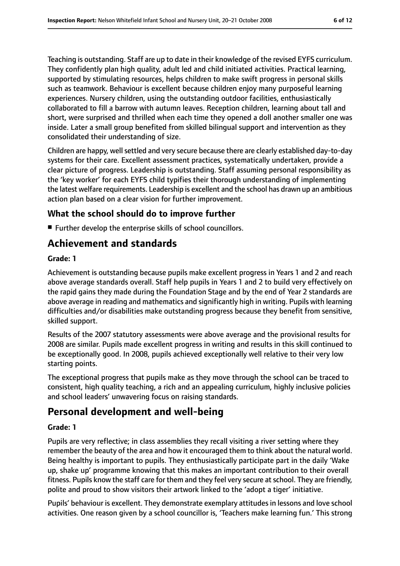Teaching is outstanding. Staff are up to date in their knowledge of the revised EYFS curriculum. They confidently plan high quality, adult led and child initiated activities. Practical learning, supported by stimulating resources, helps children to make swift progress in personal skills such as teamwork. Behaviour is excellent because children enjoy many purposeful learning experiences. Nursery children, using the outstanding outdoor facilities, enthusiastically collaborated to fill a barrow with autumn leaves. Reception children, learning about tall and short, were surprised and thrilled when each time they opened a doll another smaller one was inside. Later a small group benefited from skilled bilingual support and intervention as they consolidated their understanding of size.

Children are happy, well settled and very secure because there are clearly established day-to-day systems for their care. Excellent assessment practices, systematically undertaken, provide a clear picture of progress. Leadership is outstanding. Staff assuming personal responsibility as the 'key worker' for each EYFS child typifies their thorough understanding of implementing the latest welfare requirements. Leadership is excellent and the school has drawn up an ambitious action plan based on a clear vision for further improvement.

#### **What the school should do to improve further**

■ Further develop the enterprise skills of school councillors.

## **Achievement and standards**

#### **Grade: 1**

Achievement is outstanding because pupils make excellent progress in Years 1 and 2 and reach above average standards overall. Staff help pupils in Years 1 and 2 to build very effectively on the rapid gains they made during the Foundation Stage and by the end of Year 2 standards are above average in reading and mathematics and significantly high in writing. Pupils with learning difficulties and/or disabilities make outstanding progress because they benefit from sensitive, skilled support.

Results of the 2007 statutory assessments were above average and the provisional results for 2008 are similar. Pupils made excellent progress in writing and results in this skill continued to be exceptionally good. In 2008, pupils achieved exceptionally well relative to their very low starting points.

The exceptional progress that pupils make as they move through the school can be traced to consistent, high quality teaching, a rich and an appealing curriculum, highly inclusive policies and school leaders' unwavering focus on raising standards.

## **Personal development and well-being**

#### **Grade: 1**

Pupils are very reflective; in class assemblies they recall visiting a river setting where they remember the beauty of the area and how it encouraged them to think about the natural world. Being healthy is important to pupils. They enthusiastically participate part in the daily 'Wake up, shake up' programme knowing that this makes an important contribution to their overall fitness. Pupils know the staff care for them and they feel very secure at school. They are friendly, polite and proud to show visitors their artwork linked to the 'adopt a tiger' initiative.

Pupils' behaviour is excellent. They demonstrate exemplary attitudes in lessons and love school activities. One reason given by a school councillor is, 'Teachers make learning fun.' This strong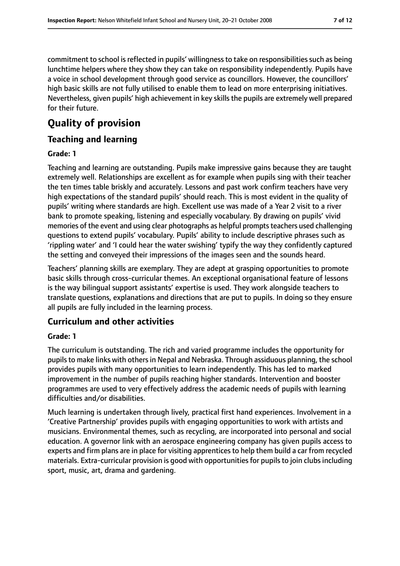commitment to school is reflected in pupils' willingness to take on responsibilities such as being lunchtime helpers where they show they can take on responsibility independently. Pupils have a voice in school development through good service as councillors. However, the councillors' high basic skills are not fully utilised to enable them to lead on more enterprising initiatives. Nevertheless, given pupils' high achievement in key skills the pupils are extremely well prepared for their future.

## **Quality of provision**

#### **Teaching and learning**

#### **Grade: 1**

Teaching and learning are outstanding. Pupils make impressive gains because they are taught extremely well. Relationships are excellent as for example when pupils sing with their teacher the ten times table briskly and accurately. Lessons and past work confirm teachers have very high expectations of the standard pupils' should reach. This is most evident in the quality of pupils' writing where standards are high. Excellent use was made of a Year 2 visit to a river bank to promote speaking, listening and especially vocabulary. By drawing on pupils' vivid memories of the event and using clear photographs as helpful prompts teachers used challenging questions to extend pupils' vocabulary. Pupils' ability to include descriptive phrases such as 'rippling water' and 'I could hear the water swishing' typify the way they confidently captured the setting and conveyed their impressions of the images seen and the sounds heard.

Teachers' planning skills are exemplary. They are adept at grasping opportunities to promote basic skills through cross-curricular themes. An exceptional organisational feature of lessons is the way bilingual support assistants' expertise is used. They work alongside teachers to translate questions, explanations and directions that are put to pupils. In doing so they ensure all pupils are fully included in the learning process.

#### **Curriculum and other activities**

#### **Grade: 1**

The curriculum is outstanding. The rich and varied programme includes the opportunity for pupils to make links with others in Nepal and Nebraska. Through assiduous planning, the school provides pupils with many opportunities to learn independently. This has led to marked improvement in the number of pupils reaching higher standards. Intervention and booster programmes are used to very effectively address the academic needs of pupils with learning difficulties and/or disabilities.

Much learning is undertaken through lively, practical first hand experiences. Involvement in a 'Creative Partnership' provides pupils with engaging opportunities to work with artists and musicians. Environmental themes, such as recycling, are incorporated into personal and social education. A governor link with an aerospace engineering company has given pupils access to experts and firm plans are in place for visiting apprentices to help them build a car from recycled materials. Extra-curricular provision is good with opportunities for pupils to join clubs including sport, music, art, drama and gardening.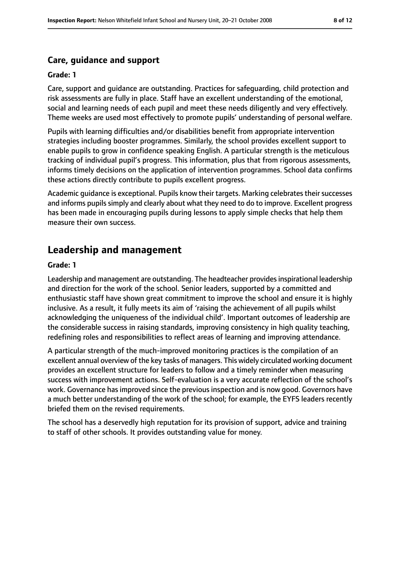#### **Care, guidance and support**

#### **Grade: 1**

Care, support and guidance are outstanding. Practices for safeguarding, child protection and risk assessments are fully in place. Staff have an excellent understanding of the emotional, social and learning needs of each pupil and meet these needs diligently and very effectively. Theme weeks are used most effectively to promote pupils' understanding of personal welfare.

Pupils with learning difficulties and/or disabilities benefit from appropriate intervention strategies including booster programmes. Similarly, the school provides excellent support to enable pupils to grow in confidence speaking English. A particular strength is the meticulous tracking of individual pupil's progress. This information, plus that from rigorous assessments, informs timely decisions on the application of intervention programmes. School data confirms these actions directly contribute to pupils excellent progress.

Academic guidance is exceptional. Pupils know their targets. Marking celebrates their successes and informs pupils simply and clearly about what they need to do to improve. Excellent progress has been made in encouraging pupils during lessons to apply simple checks that help them measure their own success.

## **Leadership and management**

#### **Grade: 1**

Leadership and management are outstanding. The headteacher provides inspirational leadership and direction for the work of the school. Senior leaders, supported by a committed and enthusiastic staff have shown great commitment to improve the school and ensure it is highly inclusive. As a result, it fully meets its aim of 'raising the achievement of all pupils whilst acknowledging the uniqueness of the individual child'. Important outcomes of leadership are the considerable success in raising standards, improving consistency in high quality teaching, redefining roles and responsibilities to reflect areas of learning and improving attendance.

A particular strength of the much-improved monitoring practices is the compilation of an excellent annual overview of the key tasks of managers. This widely circulated working document provides an excellent structure for leaders to follow and a timely reminder when measuring success with improvement actions. Self-evaluation is a very accurate reflection of the school's work. Governance has improved since the previous inspection and is now good. Governors have a much better understanding of the work of the school; for example, the EYFS leaders recently briefed them on the revised requirements.

The school has a deservedly high reputation for its provision of support, advice and training to staff of other schools. It provides outstanding value for money.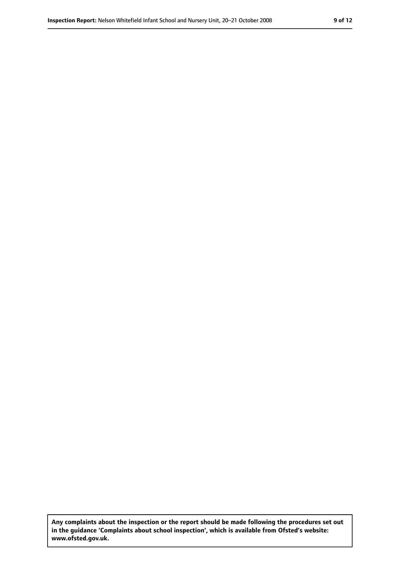**Any complaints about the inspection or the report should be made following the procedures set out in the guidance 'Complaints about school inspection', which is available from Ofsted's website: www.ofsted.gov.uk.**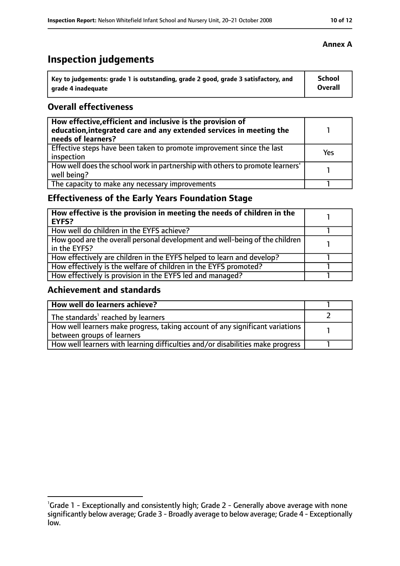## **Inspection judgements**

| Key to judgements: grade 1 is outstanding, grade 2 good, grade 3 satisfactory, and | <b>School</b>  |
|------------------------------------------------------------------------------------|----------------|
| arade 4 inadequate                                                                 | <b>Overall</b> |

#### **Overall effectiveness**

| How effective, efficient and inclusive is the provision of<br>education, integrated care and any extended services in meeting the<br>needs of learners? |     |
|---------------------------------------------------------------------------------------------------------------------------------------------------------|-----|
| Effective steps have been taken to promote improvement since the last<br>inspection                                                                     | Yes |
| How well does the school work in partnership with others to promote learners'<br>well being?                                                            |     |
| The capacity to make any necessary improvements                                                                                                         |     |

#### **Effectiveness of the Early Years Foundation Stage**

| How effective is the provision in meeting the needs of children in the<br>l EYFS?            |  |
|----------------------------------------------------------------------------------------------|--|
| How well do children in the EYFS achieve?                                                    |  |
| How good are the overall personal development and well-being of the children<br>in the EYFS? |  |
| How effectively are children in the EYFS helped to learn and develop?                        |  |
| How effectively is the welfare of children in the EYFS promoted?                             |  |
| How effectively is provision in the EYFS led and managed?                                    |  |

#### **Achievement and standards**

| How well do learners achieve?                                                  |  |
|--------------------------------------------------------------------------------|--|
| $\vert$ The standards <sup>1</sup> reached by learners                         |  |
| How well learners make progress, taking account of any significant variations  |  |
| between groups of learners                                                     |  |
| How well learners with learning difficulties and/or disabilities make progress |  |

#### **Annex A**

<sup>&</sup>lt;sup>1</sup>Grade 1 - Exceptionally and consistently high; Grade 2 - Generally above average with none significantly below average; Grade 3 - Broadly average to below average; Grade 4 - Exceptionally low.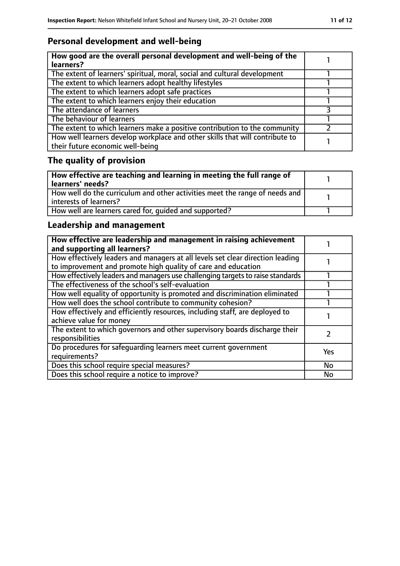### **Personal development and well-being**

| How good are the overall personal development and well-being of the<br>learners?                                 |  |
|------------------------------------------------------------------------------------------------------------------|--|
| The extent of learners' spiritual, moral, social and cultural development                                        |  |
| The extent to which learners adopt healthy lifestyles                                                            |  |
| The extent to which learners adopt safe practices                                                                |  |
| The extent to which learners enjoy their education                                                               |  |
| The attendance of learners                                                                                       |  |
| The behaviour of learners                                                                                        |  |
| The extent to which learners make a positive contribution to the community                                       |  |
| How well learners develop workplace and other skills that will contribute to<br>their future economic well-being |  |

## **The quality of provision**

| How effective are teaching and learning in meeting the full range of<br>learners' needs?              |  |
|-------------------------------------------------------------------------------------------------------|--|
| How well do the curriculum and other activities meet the range of needs and<br>interests of learners? |  |
| How well are learners cared for, quided and supported?                                                |  |

### **Leadership and management**

| How effective are leadership and management in raising achievement<br>and supporting all learners?                                              |           |
|-------------------------------------------------------------------------------------------------------------------------------------------------|-----------|
| How effectively leaders and managers at all levels set clear direction leading<br>to improvement and promote high quality of care and education |           |
| How effectively leaders and managers use challenging targets to raise standards                                                                 |           |
| The effectiveness of the school's self-evaluation                                                                                               |           |
| How well equality of opportunity is promoted and discrimination eliminated                                                                      |           |
| How well does the school contribute to community cohesion?                                                                                      |           |
| How effectively and efficiently resources, including staff, are deployed to<br>achieve value for money                                          |           |
| The extent to which governors and other supervisory boards discharge their<br>responsibilities                                                  |           |
| Do procedures for safequarding learners meet current government<br>requirements?                                                                | Yes       |
| Does this school require special measures?                                                                                                      | <b>No</b> |
| Does this school require a notice to improve?                                                                                                   | <b>No</b> |